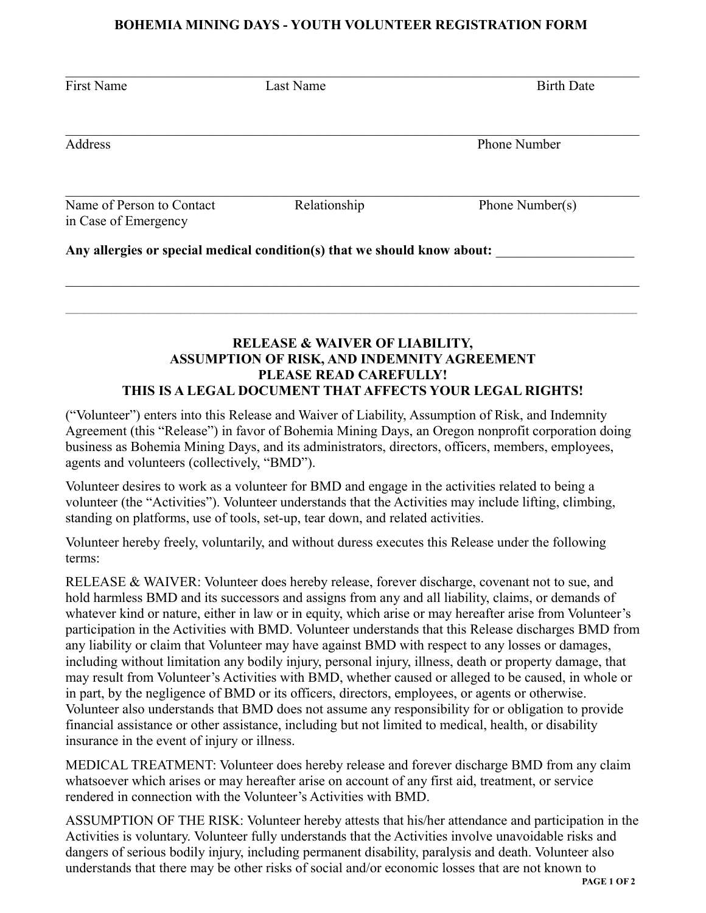## **BOHEMIA MINING DAYS - YOUTH VOLUNTEER REGISTRATION FORM**

| <b>Phone Number</b>                                                      |
|--------------------------------------------------------------------------|
| Phone Number(s)                                                          |
| Any allergies or special medical condition(s) that we should know about: |
|                                                                          |
|                                                                          |

## **RELEASE & WAIVER OF LIABILITY, ASSUMPTION OF RISK, AND INDEMNITY AGREEMENT PLEASE READ CAREFULLY! THIS IS A LEGAL DOCUMENT THAT AFFECTS YOUR LEGAL RIGHTS!**

("Volunteer") enters into this Release and Waiver of Liability, Assumption of Risk, and Indemnity Agreement (this "Release") in favor of Bohemia Mining Days, an Oregon nonprofit corporation doing business as Bohemia Mining Days, and its administrators, directors, officers, members, employees, agents and volunteers (collectively, "BMD").

Volunteer desires to work as a volunteer for BMD and engage in the activities related to being a volunteer (the "Activities"). Volunteer understands that the Activities may include lifting, climbing, standing on platforms, use of tools, set-up, tear down, and related activities.

Volunteer hereby freely, voluntarily, and without duress executes this Release under the following terms:

RELEASE & WAIVER: Volunteer does hereby release, forever discharge, covenant not to sue, and hold harmless BMD and its successors and assigns from any and all liability, claims, or demands of whatever kind or nature, either in law or in equity, which arise or may hereafter arise from Volunteer's participation in the Activities with BMD. Volunteer understands that this Release discharges BMD from any liability or claim that Volunteer may have against BMD with respect to any losses or damages, including without limitation any bodily injury, personal injury, illness, death or property damage, that may result from Volunteer's Activities with BMD, whether caused or alleged to be caused, in whole or in part, by the negligence of BMD or its officers, directors, employees, or agents or otherwise. Volunteer also understands that BMD does not assume any responsibility for or obligation to provide financial assistance or other assistance, including but not limited to medical, health, or disability insurance in the event of injury or illness.

MEDICAL TREATMENT: Volunteer does hereby release and forever discharge BMD from any claim whatsoever which arises or may hereafter arise on account of any first aid, treatment, or service rendered in connection with the Volunteer's Activities with BMD.

ASSUMPTION OF THE RISK: Volunteer hereby attests that his/her attendance and participation in the Activities is voluntary. Volunteer fully understands that the Activities involve unavoidable risks and dangers of serious bodily injury, including permanent disability, paralysis and death. Volunteer also understands that there may be other risks of social and/or economic losses that are not known to